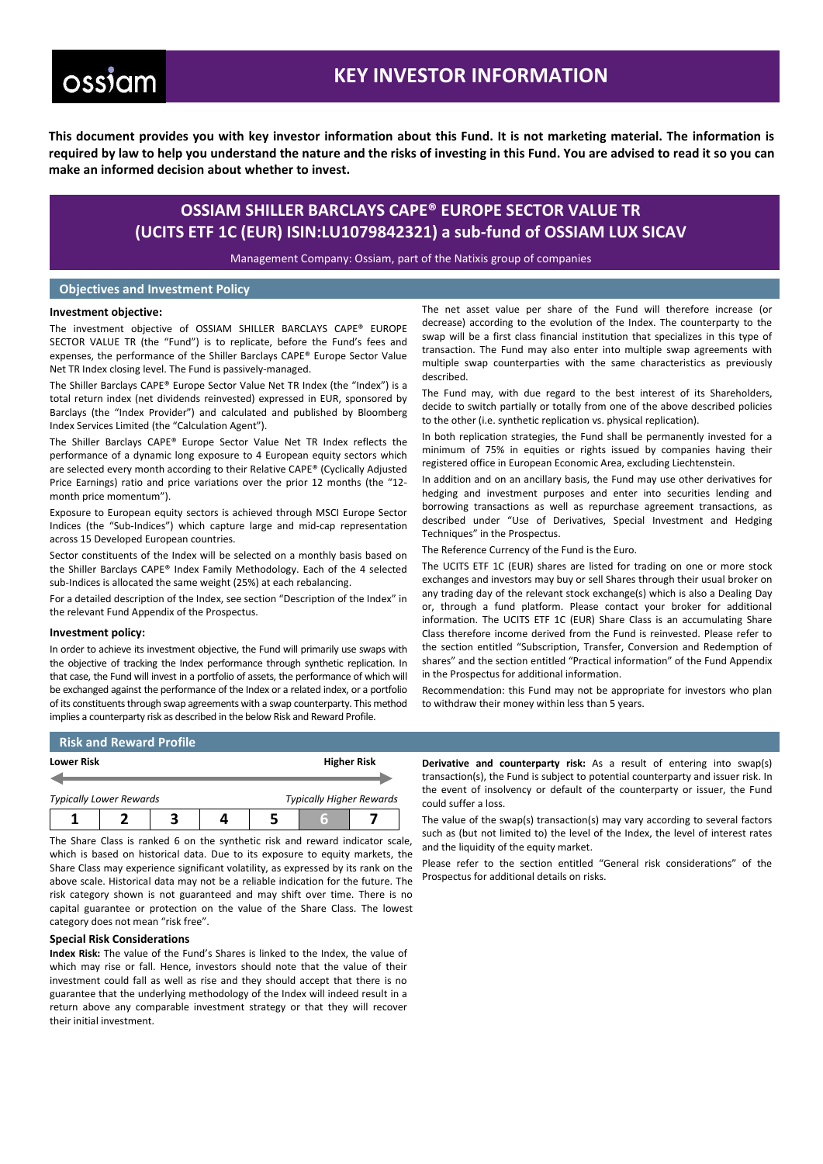# **ossiam**

# **KEY INVESTOR INFORMATION**

**This document provides you with key investor information about this Fund. It is not marketing material. The information is required by law to help you understand the nature and the risks of investing in this Fund. You are advised to read it so you can make an informed decision about whether to invest.**

## **OSSIAM SHILLER BARCLAYS CAPE® EUROPE SECTOR VALUE TR (UCITS ETF 1C (EUR) ISIN:LU1079842321) a sub-fund of OSSIAM LUX SICAV**

Management Company: Ossiam, part of the Natixis group of companies

### **Objectives and Investment Policy**

### **Investment objective:**

The investment objective of OSSIAM SHILLER BARCLAYS CAPE® EUROPE SECTOR VALUE TR (the "Fund") is to replicate, before the Fund's fees and expenses, the performance of the Shiller Barclays CAPE® Europe Sector Value Net TR Index closing level. The Fund is passively-managed.

The Shiller Barclays CAPE® Europe Sector Value Net TR Index (the "Index") is a total return index (net dividends reinvested) expressed in EUR, sponsored by Barclays (the "Index Provider") and calculated and published by Bloomberg Index Services Limited (the "Calculation Agent").

The Shiller Barclays CAPE® Europe Sector Value Net TR Index reflects the performance of a dynamic long exposure to 4 European equity sectors which are selected every month according to their Relative CAPE® (Cyclically Adjusted Price Earnings) ratio and price variations over the prior 12 months (the "12 month price momentum").

Exposure to European equity sectors is achieved through MSCI Europe Sector Indices (the "Sub-Indices") which capture large and mid-cap representation across 15 Developed European countries.

Sector constituents of the Index will be selected on a monthly basis based on the Shiller Barclays CAPE® Index Family Methodology. Each of the 4 selected sub-Indices is allocated the same weight (25%) at each rebalancing.

For a detailed description of the Index, see section "Description of the Index" in the relevant Fund Appendix of the Prospectus.

### **Investment policy:**

In order to achieve its investment objective, the Fund will primarily use swaps with the objective of tracking the Index performance through synthetic replication. In that case, the Fund will invest in a portfolio of assets, the performance of which will be exchanged against the performance of the Index or a related index, or a portfolio of its constituents through swap agreements with a swap counterparty. This method implies a counterparty risk as described in the below Risk and Reward Profile.

The net asset value per share of the Fund will therefore increase (or decrease) according to the evolution of the Index. The counterparty to the swap will be a first class financial institution that specializes in this type of transaction. The Fund may also enter into multiple swap agreements with multiple swap counterparties with the same characteristics as previously described.

The Fund may, with due regard to the best interest of its Shareholders, decide to switch partially or totally from one of the above described policies to the other (i.e. synthetic replication vs. physical replication).

In both replication strategies, the Fund shall be permanently invested for a minimum of 75% in equities or rights issued by companies having their registered office in European Economic Area, excluding Liechtenstein.

In addition and on an ancillary basis, the Fund may use other derivatives for hedging and investment purposes and enter into securities lending and borrowing transactions as well as repurchase agreement transactions, as described under "Use of Derivatives, Special Investment and Hedging Techniques" in the Prospectus.

The Reference Currency of the Fund is the Euro.

The UCITS ETF 1C (EUR) shares are listed for trading on one or more stock exchanges and investors may buy or sell Shares through their usual broker on any trading day of the relevant stock exchange(s) which is also a Dealing Day or, through a fund platform. Please contact your broker for additional information. The UCITS ETF 1C (EUR) Share Class is an accumulating Share Class therefore income derived from the Fund is reinvested. Please refer to the section entitled "Subscription, Transfer, Conversion and Redemption of shares" and the section entitled "Practical information" of the Fund Appendix in the Prospectus for additional information.

Recommendation: this Fund may not be appropriate for investors who plan to withdraw their money within less than 5 years.

### **Risk and Reward Profile**

| <b>Lower Risk</b>              |  |  |  | <b>Higher Risk</b>              |  |  |
|--------------------------------|--|--|--|---------------------------------|--|--|
|                                |  |  |  |                                 |  |  |
| <b>Typically Lower Rewards</b> |  |  |  | <b>Typically Higher Rewards</b> |  |  |
|                                |  |  |  |                                 |  |  |

The Share Class is ranked 6 on the synthetic risk and reward indicator scale, which is based on historical data. Due to its exposure to equity markets, the Share Class may experience significant volatility, as expressed by its rank on the above scale. Historical data may not be a reliable indication for the future. The risk category shown is not guaranteed and may shift over time. There is no capital guarantee or protection on the value of the Share Class. The lowest category does not mean "risk free".

### **Special Risk Considerations**

**Index Risk:** The value of the Fund's Shares is linked to the Index, the value of which may rise or fall. Hence, investors should note that the value of their investment could fall as well as rise and they should accept that there is no guarantee that the underlying methodology of the Index will indeed result in a return above any comparable investment strategy or that they will recover their initial investment.

**Derivative and counterparty risk:** As a result of entering into swap(s) transaction(s), the Fund is subject to potential counterparty and issuer risk. In the event of insolvency or default of the counterparty or issuer, the Fund could suffer a loss.

The value of the swap(s) transaction(s) may vary according to several factors such as (but not limited to) the level of the Index, the level of interest rates and the liquidity of the equity market.

Please refer to the section entitled "General risk considerations" of the Prospectus for additional details on risks.